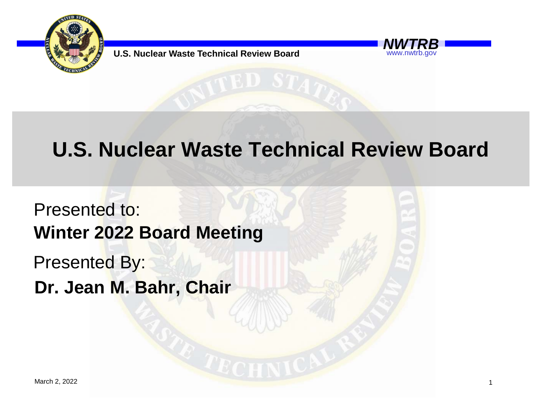

**U.S. Nuclear Waste Technical Review Board** 

## www.nwtrb.gov

## **U.S. Nuclear Waste Technical Review Board**

Presented to: Presented By: **Winter 2022 Board Meeting Dr. Jean M. Bahr, Chair**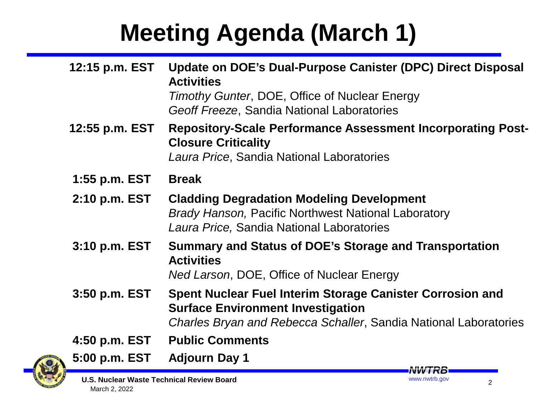## **Meeting Agenda (March 1)**

| 12:15 p.m. EST    | Update on DOE's Dual-Purpose Canister (DPC) Direct Disposal<br><b>Activities</b><br>Timothy Gunter, DOE, Office of Nuclear Energy<br>Geoff Freeze, Sandia National Laboratories |
|-------------------|---------------------------------------------------------------------------------------------------------------------------------------------------------------------------------|
| 12:55 p.m. EST    | <b>Repository-Scale Performance Assessment Incorporating Post-</b><br><b>Closure Criticality</b><br>Laura Price, Sandia National Laboratories                                   |
| $1:55$ p.m. $EST$ | <b>Break</b>                                                                                                                                                                    |
| 2:10 p.m. EST     | <b>Cladding Degradation Modeling Development</b><br><b>Brady Hanson, Pacific Northwest National Laboratory</b><br>Laura Price, Sandia National Laboratories                     |
| 3:10 p.m. EST     | Summary and Status of DOE's Storage and Transportation<br><b>Activities</b><br>Ned Larson, DOE, Office of Nuclear Energy                                                        |
| 3:50 p.m. EST     | Spent Nuclear Fuel Interim Storage Canister Corrosion and<br><b>Surface Environment Investigation</b><br>Charles Bryan and Rebecca Schaller, Sandia National Laboratories       |
| 4:50 p.m. EST     | <b>Public Comments</b>                                                                                                                                                          |
| 5:00 p.m. EST     | <b>Adjourn Day 1</b><br><b>NVVIRB</b>                                                                                                                                           |

**U.S. Nuclear Waste Technical Review Board** March 2, 2022

2

www.nwtrb.gov